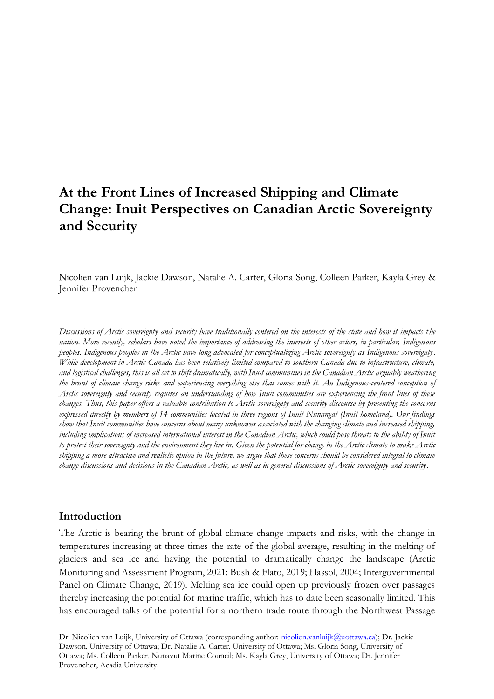# **At the Front Lines of Increased Shipping and Climate Change: Inuit Perspectives on Canadian Arctic Sovereignty and Security**

Nicolien van Luijk, Jackie Dawson, Natalie A. Carter, Gloria Song, Colleen Parker, Kayla Grey & Jennifer Provencher

*Discussions of Arctic sovereignty and security have traditionally centered on the interests of the state and how it impacts t he nation. More recently, scholars have noted the importance of addressing the interests of other actors, in particular, Indigenous peoples. Indigenous peoples in the Arctic have long advocated for conceptualizing Arctic sovereignty as Indigenous sovereignty. While development in Arctic Canada has been relatively limited compared to southern Canada due to infrastructure, climate, and logistical challenges, this is all set to shift dramatically, with Inuit communities in the Canadian Arctic arguably weathering the brunt of climate change risks and experiencing everything else that comes with it. An Indigenous-centered conception of Arctic sovereignty and security requires an understanding of how Inuit communities are experiencing the front lines of these changes. Thus, this paper offers a valuable contribution to Arctic sovereignty and security discourse by presenting the concerns expressed directly by members of 14 communities located in three regions of Inuit Nunangat (Inuit homeland). Our findings show that Inuit communities have concerns about many unknowns associated with the changing climate and increased shipping,*  including implications of increased international interest in the Canadian Arctic, which could pose threats to the ability of Inuit *to protect their sovereignty and the environment they live in. Given the potential for change in the Arctic climate to make Arctic shipping a more attractive and realistic option in the future, we argue that these concerns should be considered integral to climate change discussions and decisions in the Canadian Arctic, as well as in general discussions of Arctic sovereignty and security.*

# **Introduction**

The Arctic is bearing the brunt of global climate change impacts and risks, with the change in temperatures increasing at three times the rate of the global average, resulting in the melting of glaciers and sea ice and having the potential to dramatically change the landscape (Arctic Monitoring and Assessment Program, 2021; Bush & Flato, 2019; Hassol, 2004; Intergovernmental Panel on Climate Change, 2019). Melting sea ice could open up previously frozen over passages thereby increasing the potential for marine traffic, which has to date been seasonally limited. This has encouraged talks of the potential for a northern trade route through the Northwest Passage

Dr. Nicolien van Luijk, University of Ottawa (corresponding author: [nicolien.vanluijk@uottawa.ca\)](mailto:nicolien.vanluijk@uottawa.ca); Dr. Jackie Dawson, University of Ottawa; Dr. Natalie A. Carter, University of Ottawa; Ms. Gloria Song, University of Ottawa; Ms. Colleen Parker, Nunavut Marine Council; Ms. Kayla Grey, University of Ottawa; Dr. Jennifer Provencher, Acadia University.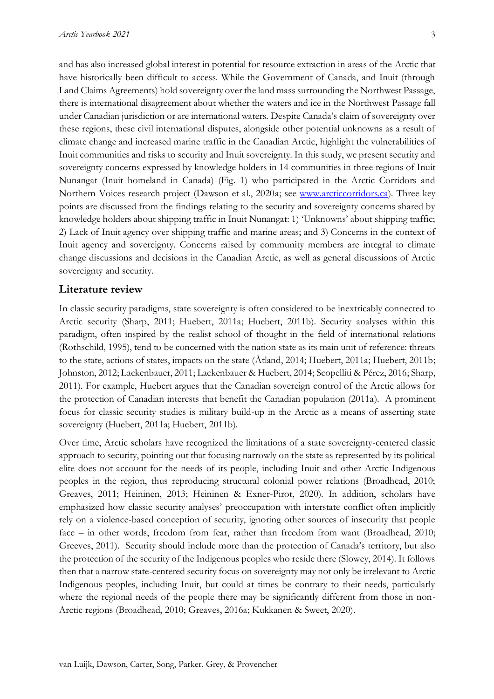and has also increased global interest in potential for resource extraction in areas of the Arctic that have historically been difficult to access. While the Government of Canada, and Inuit (through Land Claims Agreements) hold sovereignty over the land mass surrounding the Northwest Passage, there is international disagreement about whether the waters and ice in the Northwest Passage fall under Canadian jurisdiction or are international waters. Despite Canada's claim of sovereignty over these regions, these civil international disputes, alongside other potential unknowns as a result of climate change and increased marine traffic in the Canadian Arctic, highlight the vulnerabilities of Inuit communities and risks to security and Inuit sovereignty. In this study, we present security and sovereignty concerns expressed by knowledge holders in 14 communities in three regions of Inuit Nunangat (Inuit homeland in Canada) (Fig. 1) who participated in the Arctic Corridors and Northern Voices research project (Dawson et al., 2020a; see [www.arcticcorridors.ca\)](http://www.arcticcorridors.ca/). Three key points are discussed from the findings relating to the security and sovereignty concerns shared by knowledge holders about shipping traffic in Inuit Nunangat: 1) 'Unknowns' about shipping traffic; 2) Lack of Inuit agency over shipping traffic and marine areas; and 3) Concerns in the context of Inuit agency and sovereignty. Concerns raised by community members are integral to climate change discussions and decisions in the Canadian Arctic, as well as general discussions of Arctic sovereignty and security.

## **Literature review**

In classic security paradigms, state sovereignty is often considered to be inextricably connected to Arctic security (Sharp, 2011; Huebert, 2011a; Huebert, 2011b). Security analyses within this paradigm, often inspired by the realist school of thought in the field of international relations (Rothschild, 1995), tend to be concerned with the nation state as its main unit of reference: threats to the state, actions of states, impacts on the state (Åtland, 2014; Huebert, 2011a; Huebert, 2011b; Johnston, 2012; Lackenbauer, 2011; Lackenbauer & Huebert, 2014; Scopelliti & Pérez, 2016; Sharp, 2011). For example, Huebert argues that the Canadian sovereign control of the Arctic allows for the protection of Canadian interests that benefit the Canadian population (2011a). A prominent focus for classic security studies is military build-up in the Arctic as a means of asserting state sovereignty (Huebert, 2011a; Huebert, 2011b).

Over time, Arctic scholars have recognized the limitations of a state sovereignty-centered classic approach to security, pointing out that focusing narrowly on the state as represented by its political elite does not account for the needs of its people, including Inuit and other Arctic Indigenous peoples in the region, thus reproducing structural colonial power relations (Broadhead, 2010; Greaves, 2011; Heininen, 2013; Heininen & Exner-Pirot, 2020). In addition, scholars have emphasized how classic security analyses' preoccupation with interstate conflict often implicitly rely on a violence-based conception of security, ignoring other sources of insecurity that people face – in other words, freedom from fear, rather than freedom from want (Broadhead, 2010; Greeves, 2011). Security should include more than the protection of Canada's territory, but also the protection of the security of the Indigenous peoples who reside there (Slowey, 2014). It follows then that a narrow state-centered security focus on sovereignty may not only be irrelevant to Arctic Indigenous peoples, including Inuit, but could at times be contrary to their needs, particularly where the regional needs of the people there may be significantly different from those in non-Arctic regions (Broadhead, 2010; Greaves, 2016a; Kukkanen & Sweet, 2020).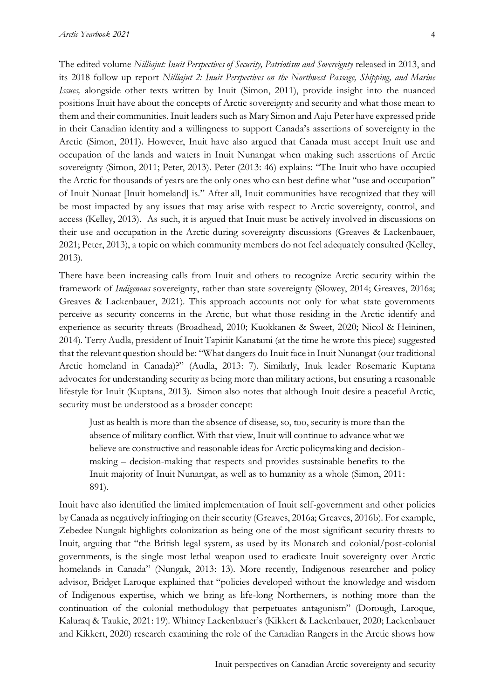The edited volume *Nilliajut: Inuit Perspectives of Security, Patriotism and Sovereignty* released in 2013, and its 2018 follow up report *Nilliajut 2: Inuit Perspectives on the Northwest Passage, Shipping, and Marine Issues,* alongside other texts written by Inuit (Simon, 2011), provide insight into the nuanced positions Inuit have about the concepts of Arctic sovereignty and security and what those mean to them and their communities. Inuit leaders such as Mary Simon and Aaju Peter have expressed pride in their Canadian identity and a willingness to support Canada's assertions of sovereignty in the Arctic (Simon, 2011). However, Inuit have also argued that Canada must accept Inuit use and occupation of the lands and waters in Inuit Nunangat when making such assertions of Arctic sovereignty (Simon, 2011; Peter, 2013). Peter (2013: 46) explains: "The Inuit who have occupied the Arctic for thousands of years are the only ones who can best define what "use and occupation" of Inuit Nunaat [Inuit homeland] is." After all, Inuit communities have recognized that they will be most impacted by any issues that may arise with respect to Arctic sovereignty, control, and access (Kelley, 2013). As such, it is argued that Inuit must be actively involved in discussions on their use and occupation in the Arctic during sovereignty discussions (Greaves & Lackenbauer, 2021; Peter, 2013), a topic on which community members do not feel adequately consulted (Kelley, 2013).

There have been increasing calls from Inuit and others to recognize Arctic security within the framework of *Indigenous* sovereignty, rather than state sovereignty (Slowey, 2014; Greaves, 2016a; Greaves & Lackenbauer, 2021). This approach accounts not only for what state governments perceive as security concerns in the Arctic, but what those residing in the Arctic identify and experience as security threats (Broadhead, 2010; Kuokkanen & Sweet, 2020; Nicol & Heininen, 2014). Terry Audla, president of Inuit Tapiriit Kanatami (at the time he wrote this piece) suggested that the relevant question should be: "What dangers do Inuit face in Inuit Nunangat (our traditional Arctic homeland in Canada)?" (Audla, 2013: 7). Similarly, Inuk leader Rosemarie Kuptana advocates for understanding security as being more than military actions, but ensuring a reasonable lifestyle for Inuit (Kuptana, 2013). Simon also notes that although Inuit desire a peaceful Arctic, security must be understood as a broader concept:

Just as health is more than the absence of disease, so, too, security is more than the absence of military conflict. With that view, Inuit will continue to advance what we believe are constructive and reasonable ideas for Arctic policymaking and decisionmaking – decision-making that respects and provides sustainable benefits to the Inuit majority of Inuit Nunangat, as well as to humanity as a whole (Simon, 2011: 891).

Inuit have also identified the limited implementation of Inuit self-government and other policies by Canada as negatively infringing on their security (Greaves, 2016a; Greaves, 2016b). For example, Zebedee Nungak highlights colonization as being one of the most significant security threats to Inuit, arguing that "the British legal system, as used by its Monarch and colonial/post-colonial governments, is the single most lethal weapon used to eradicate Inuit sovereignty over Arctic homelands in Canada" (Nungak, 2013: 13). More recently, Indigenous researcher and policy advisor, Bridget Laroque explained that "policies developed without the knowledge and wisdom of Indigenous expertise, which we bring as life-long Northerners, is nothing more than the continuation of the colonial methodology that perpetuates antagonism" (Dorough, Laroque, Kaluraq & Taukie, 2021: 19). Whitney Lackenbauer's (Kikkert & Lackenbauer, 2020; Lackenbauer and Kikkert, 2020) research examining the role of the Canadian Rangers in the Arctic shows how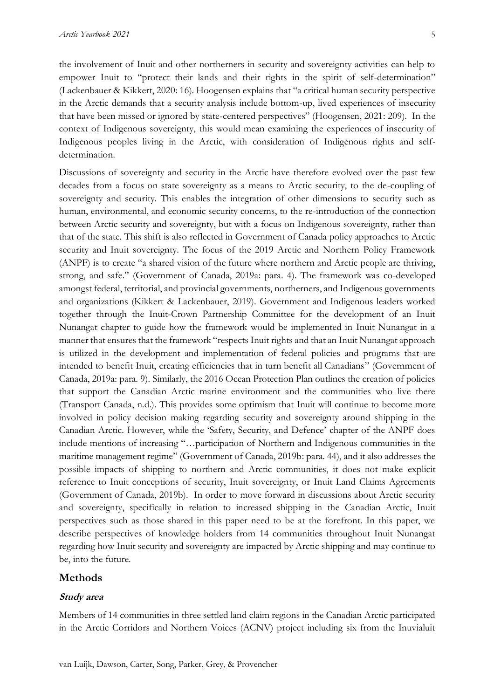the involvement of Inuit and other northerners in security and sovereignty activities can help to empower Inuit to "protect their lands and their rights in the spirit of self-determination" (Lackenbauer & Kikkert, 2020: 16). Hoogensen explains that "a critical human security perspective in the Arctic demands that a security analysis include bottom-up, lived experiences of insecurity that have been missed or ignored by state-centered perspectives" (Hoogensen, 2021: 209). In the context of Indigenous sovereignty, this would mean examining the experiences of insecurity of Indigenous peoples living in the Arctic, with consideration of Indigenous rights and selfdetermination.

Discussions of sovereignty and security in the Arctic have therefore evolved over the past few decades from a focus on state sovereignty as a means to Arctic security, to the de-coupling of sovereignty and security. This enables the integration of other dimensions to security such as human, environmental, and economic security concerns, to the re-introduction of the connection between Arctic security and sovereignty, but with a focus on Indigenous sovereignty, rather than that of the state. This shift is also reflected in Government of Canada policy approaches to Arctic security and Inuit sovereignty. The focus of the 2019 Arctic and Northern Policy Framework (ANPF) is to create "a shared vision of the future where northern and Arctic people are thriving, strong, and safe." (Government of Canada, 2019a: para. 4). The framework was co-developed amongst federal, territorial, and provincial governments, northerners, and Indigenous governments and organizations (Kikkert & Lackenbauer, 2019). Government and Indigenous leaders worked together through the Inuit-Crown Partnership Committee for the development of an Inuit Nunangat chapter to guide how the framework would be implemented in Inuit Nunangat in a manner that ensures that the framework "respects Inuit rights and that an Inuit Nunangat approach is utilized in the development and implementation of federal policies and programs that are intended to benefit Inuit, creating efficiencies that in turn benefit all Canadians" (Government of Canada, 2019a: para. 9). Similarly, the 2016 Ocean Protection Plan outlines the creation of policies that support the Canadian Arctic marine environment and the communities who live there (Transport Canada, n.d.). This provides some optimism that Inuit will continue to become more involved in policy decision making regarding security and sovereignty around shipping in the Canadian Arctic. However, while the 'Safety, Security, and Defence' chapter of the ANPF does include mentions of increasing "…participation of Northern and Indigenous communities in the maritime management regime" (Government of Canada, 2019b: para. 44), and it also addresses the possible impacts of shipping to northern and Arctic communities, it does not make explicit reference to Inuit conceptions of security, Inuit sovereignty, or Inuit Land Claims Agreements (Government of Canada, 2019b). In order to move forward in discussions about Arctic security and sovereignty, specifically in relation to increased shipping in the Canadian Arctic, Inuit perspectives such as those shared in this paper need to be at the forefront. In this paper, we describe perspectives of knowledge holders from 14 communities throughout Inuit Nunangat regarding how Inuit security and sovereignty are impacted by Arctic shipping and may continue to be, into the future.

## **Methods**

## **Study area**

Members of 14 communities in three settled land claim regions in the Canadian Arctic participated in the Arctic Corridors and Northern Voices (ACNV) project including six from the Inuvialuit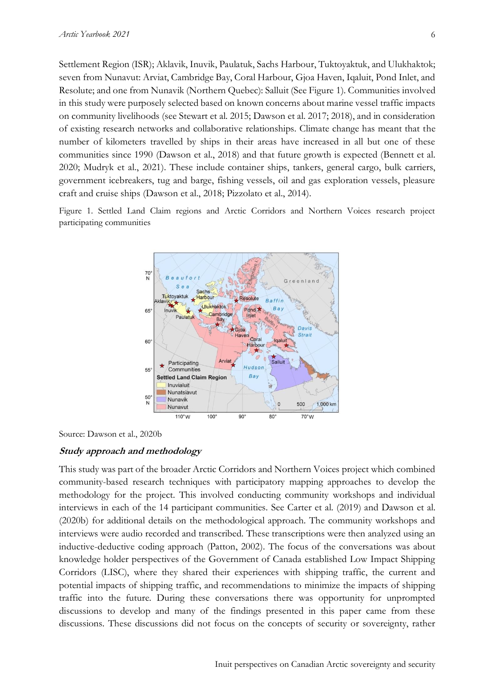Settlement Region (ISR); Aklavik, Inuvik, Paulatuk, Sachs Harbour, Tuktoyaktuk, and Ulukhaktok; seven from Nunavut: Arviat, Cambridge Bay, Coral Harbour, Gjoa Haven, Iqaluit, Pond Inlet, and Resolute; and one from Nunavik (Northern Quebec): Salluit (See Figure 1). Communities involved in this study were purposely selected based on known concerns about marine vessel traffic impacts on community livelihoods (see Stewart et al. 2015; Dawson et al. 2017; 2018), and in consideration of existing research networks and collaborative relationships. Climate change has meant that the number of kilometers travelled by ships in their areas have increased in all but one of these communities since 1990 (Dawson et al., 2018) and that future growth is expected (Bennett et al. 2020; Mudryk et al., 2021). These include container ships, tankers, general cargo, bulk carriers, government icebreakers, tug and barge, fishing vessels, oil and gas exploration vessels, pleasure craft and cruise ships (Dawson et al., 2018; Pizzolato et al., 2014).

Figure 1. Settled Land Claim regions and Arctic Corridors and Northern Voices research project participating communities



Source: Dawson et al., 2020b

## **Study approach and methodology**

This study was part of the broader Arctic Corridors and Northern Voices project which combined community-based research techniques with participatory mapping approaches to develop the methodology for the project. This involved conducting community workshops and individual interviews in each of the 14 participant communities. See Carter et al. (2019) and Dawson et al. (2020b) for additional details on the methodological approach. The community workshops and interviews were audio recorded and transcribed. These transcriptions were then analyzed using an inductive-deductive coding approach (Patton, 2002). The focus of the conversations was about knowledge holder perspectives of the Government of Canada established Low Impact Shipping Corridors (LISC), where they shared their experiences with shipping traffic, the current and potential impacts of shipping traffic, and recommendations to minimize the impacts of shipping traffic into the future. During these conversations there was opportunity for unprompted discussions to develop and many of the findings presented in this paper came from these discussions. These discussions did not focus on the concepts of security or sovereignty, rather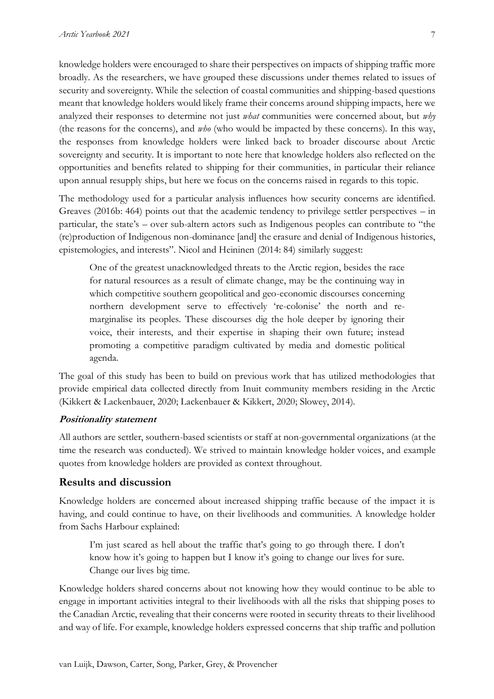knowledge holders were encouraged to share their perspectives on impacts of shipping traffic more broadly. As the researchers, we have grouped these discussions under themes related to issues of security and sovereignty. While the selection of coastal communities and shipping-based questions meant that knowledge holders would likely frame their concerns around shipping impacts, here we analyzed their responses to determine not just *what* communities were concerned about, but *why*  (the reasons for the concerns), and *who* (who would be impacted by these concerns). In this way, the responses from knowledge holders were linked back to broader discourse about Arctic sovereignty and security. It is important to note here that knowledge holders also reflected on the opportunities and benefits related to shipping for their communities, in particular their reliance upon annual resupply ships, but here we focus on the concerns raised in regards to this topic.

The methodology used for a particular analysis influences how security concerns are identified. Greaves (2016b: 464) points out that the academic tendency to privilege settler perspectives – in particular, the state's – over sub-altern actors such as Indigenous peoples can contribute to "the (re)production of Indigenous non-dominance [and] the erasure and denial of Indigenous histories, epistemologies, and interests". Nicol and Heininen (2014: 84) similarly suggest:

One of the greatest unacknowledged threats to the Arctic region, besides the race for natural resources as a result of climate change, may be the continuing way in which competitive southern geopolitical and geo-economic discourses concerning northern development serve to effectively 're-colonise' the north and remarginalise its peoples. These discourses dig the hole deeper by ignoring their voice, their interests, and their expertise in shaping their own future; instead promoting a competitive paradigm cultivated by media and domestic political agenda.

The goal of this study has been to build on previous work that has utilized methodologies that provide empirical data collected directly from Inuit community members residing in the Arctic (Kikkert & Lackenbauer, 2020; Lackenbauer & Kikkert, 2020; Slowey, 2014).

## **Positionality statement**

All authors are settler, southern-based scientists or staff at non-governmental organizations (at the time the research was conducted). We strived to maintain knowledge holder voices, and example quotes from knowledge holders are provided as context throughout.

# **Results and discussion**

Knowledge holders are concerned about increased shipping traffic because of the impact it is having, and could continue to have, on their livelihoods and communities. A knowledge holder from Sachs Harbour explained:

I'm just scared as hell about the traffic that's going to go through there. I don't know how it's going to happen but I know it's going to change our lives for sure. Change our lives big time.

Knowledge holders shared concerns about not knowing how they would continue to be able to engage in important activities integral to their livelihoods with all the risks that shipping poses to the Canadian Arctic, revealing that their concerns were rooted in security threats to their livelihood and way of life. For example, knowledge holders expressed concerns that ship traffic and pollution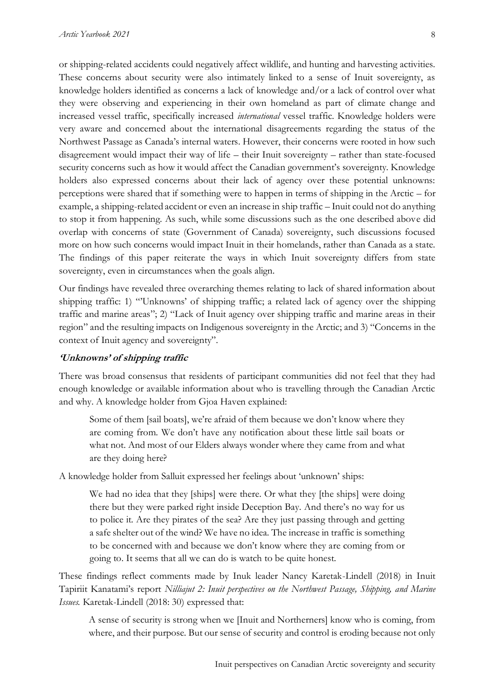or shipping-related accidents could negatively affect wildlife, and hunting and harvesting activities. These concerns about security were also intimately linked to a sense of Inuit sovereignty, as knowledge holders identified as concerns a lack of knowledge and/or a lack of control over what they were observing and experiencing in their own homeland as part of climate change and increased vessel traffic, specifically increased *international* vessel traffic. Knowledge holders were very aware and concerned about the international disagreements regarding the status of the Northwest Passage as Canada's internal waters. However, their concerns were rooted in how such disagreement would impact their way of life – their Inuit sovereignty – rather than state-focused security concerns such as how it would affect the Canadian government's sovereignty. Knowledge holders also expressed concerns about their lack of agency over these potential unknowns: perceptions were shared that if something were to happen in terms of shipping in the Arctic – for example, a shipping-related accident or even an increase in ship traffic – Inuit could not do anything to stop it from happening. As such, while some discussions such as the one described above did overlap with concerns of state (Government of Canada) sovereignty, such discussions focused more on how such concerns would impact Inuit in their homelands, rather than Canada as a state. The findings of this paper reiterate the ways in which Inuit sovereignty differs from state sovereignty, even in circumstances when the goals align.

Our findings have revealed three overarching themes relating to lack of shared information about shipping traffic: 1) "'Unknowns' of shipping traffic; a related lack of agency over the shipping traffic and marine areas"; 2) "Lack of Inuit agency over shipping traffic and marine areas in their region" and the resulting impacts on Indigenous sovereignty in the Arctic; and 3) "Concerns in the context of Inuit agency and sovereignty".

#### **'Unknowns' of shipping traffic**

There was broad consensus that residents of participant communities did not feel that they had enough knowledge or available information about who is travelling through the Canadian Arctic and why. A knowledge holder from Gjoa Haven explained:

Some of them [sail boats], we're afraid of them because we don't know where they are coming from. We don't have any notification about these little sail boats or what not. And most of our Elders always wonder where they came from and what are they doing here?

A knowledge holder from Salluit expressed her feelings about 'unknown' ships:

We had no idea that they [ships] were there. Or what they [the ships] were doing there but they were parked right inside Deception Bay. And there's no way for us to police it. Are they pirates of the sea? Are they just passing through and getting a safe shelter out of the wind? We have no idea. The increase in traffic is something to be concerned with and because we don't know where they are coming from or going to. It seems that all we can do is watch to be quite honest.

These findings reflect comments made by Inuk leader Nancy Karetak-Lindell (2018) in Inuit Tapiriit Kanatami's report *Nilliajut 2: Inuit perspectives on the Northwest Passage, Shipping, and Marine Issues.* Karetak-Lindell (2018: 30) expressed that:

A sense of security is strong when we [Inuit and Northerners] know who is coming, from where, and their purpose. But our sense of security and control is eroding because not only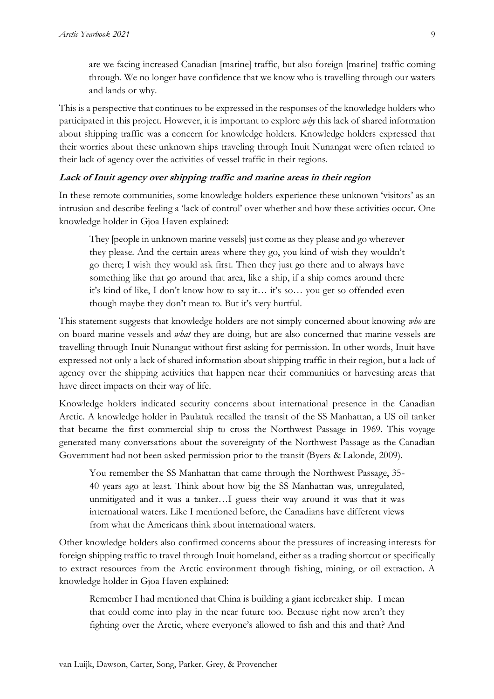are we facing increased Canadian [marine] traffic, but also foreign [marine] traffic coming through. We no longer have confidence that we know who is travelling through our waters and lands or why.

This is a perspective that continues to be expressed in the responses of the knowledge holders who participated in this project. However, it is important to explore *why* this lack of shared information about shipping traffic was a concern for knowledge holders. Knowledge holders expressed that their worries about these unknown ships traveling through Inuit Nunangat were often related to their lack of agency over the activities of vessel traffic in their regions.

## **Lack of Inuit agency over shipping traffic and marine areas in their region**

In these remote communities, some knowledge holders experience these unknown 'visitors' as an intrusion and describe feeling a 'lack of control' over whether and how these activities occur. One knowledge holder in Gjoa Haven explained:

They [people in unknown marine vessels] just come as they please and go wherever they please. And the certain areas where they go, you kind of wish they wouldn't go there; I wish they would ask first. Then they just go there and to always have something like that go around that area, like a ship, if a ship comes around there it's kind of like, I don't know how to say it… it's so… you get so offended even though maybe they don't mean to. But it's very hurtful.

This statement suggests that knowledge holders are not simply concerned about knowing *who* are on board marine vessels and *what* they are doing, but are also concerned that marine vessels are travelling through Inuit Nunangat without first asking for permission. In other words, Inuit have expressed not only a lack of shared information about shipping traffic in their region, but a lack of agency over the shipping activities that happen near their communities or harvesting areas that have direct impacts on their way of life.

Knowledge holders indicated security concerns about international presence in the Canadian Arctic. A knowledge holder in Paulatuk recalled the transit of the SS Manhattan, a US oil tanker that became the first commercial ship to cross the Northwest Passage in 1969. This voyage generated many conversations about the sovereignty of the Northwest Passage as the Canadian Government had not been asked permission prior to the transit (Byers & Lalonde, 2009).

You remember the SS Manhattan that came through the Northwest Passage, 35- 40 years ago at least. Think about how big the SS Manhattan was, unregulated, unmitigated and it was a tanker…I guess their way around it was that it was international waters. Like I mentioned before, the Canadians have different views from what the Americans think about international waters.

Other knowledge holders also confirmed concerns about the pressures of increasing interests for foreign shipping traffic to travel through Inuit homeland, either as a trading shortcut or specifically to extract resources from the Arctic environment through fishing, mining, or oil extraction. A knowledge holder in Gjoa Haven explained:

Remember I had mentioned that China is building a giant icebreaker ship. I mean that could come into play in the near future too. Because right now aren't they fighting over the Arctic, where everyone's allowed to fish and this and that? And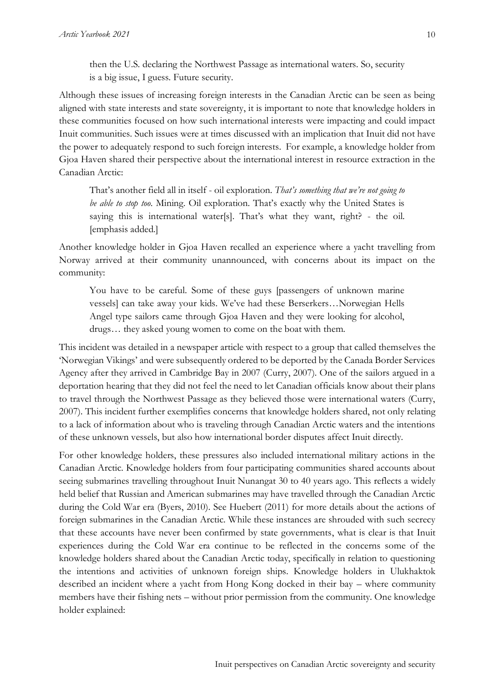then the U.S. declaring the Northwest Passage as international waters. So, security is a big issue, I guess. Future security.

Although these issues of increasing foreign interests in the Canadian Arctic can be seen as being aligned with state interests and state sovereignty, it is important to note that knowledge holders in these communities focused on how such international interests were impacting and could impact Inuit communities. Such issues were at times discussed with an implication that Inuit did not have the power to adequately respond to such foreign interests. For example, a knowledge holder from Gjoa Haven shared their perspective about the international interest in resource extraction in the Canadian Arctic:

That's another field all in itself - oil exploration. *That's something that we're not going to be able to stop too*. Mining. Oil exploration. That's exactly why the United States is saying this is international water[s]. That's what they want, right? - the oil. [emphasis added.]

Another knowledge holder in Gjoa Haven recalled an experience where a yacht travelling from Norway arrived at their community unannounced, with concerns about its impact on the community:

You have to be careful. Some of these guys [passengers of unknown marine vessels] can take away your kids. We've had these Berserkers…Norwegian Hells Angel type sailors came through Gjoa Haven and they were looking for alcohol, drugs… they asked young women to come on the boat with them.

This incident was detailed in a newspaper article with respect to a group that called themselves the 'Norwegian Vikings' and were subsequently ordered to be deported by the Canada Border Services Agency after they arrived in Cambridge Bay in 2007 (Curry, 2007). One of the sailors argued in a deportation hearing that they did not feel the need to let Canadian officials know about their plans to travel through the Northwest Passage as they believed those were international waters (Curry, 2007). This incident further exemplifies concerns that knowledge holders shared, not only relating to a lack of information about who is traveling through Canadian Arctic waters and the intentions of these unknown vessels, but also how international border disputes affect Inuit directly.

For other knowledge holders, these pressures also included international military actions in the Canadian Arctic. Knowledge holders from four participating communities shared accounts about seeing submarines travelling throughout Inuit Nunangat 30 to 40 years ago. This reflects a widely held belief that Russian and American submarines may have travelled through the Canadian Arctic during the Cold War era (Byers, 2010). See Huebert (2011) for more details about the actions of foreign submarines in the Canadian Arctic. While these instances are shrouded with such secrecy that these accounts have never been confirmed by state governments, what is clear is that Inuit experiences during the Cold War era continue to be reflected in the concerns some of the knowledge holders shared about the Canadian Arctic today, specifically in relation to questioning the intentions and activities of unknown foreign ships. Knowledge holders in Ulukhaktok described an incident where a yacht from Hong Kong docked in their bay – where community members have their fishing nets – without prior permission from the community. One knowledge holder explained: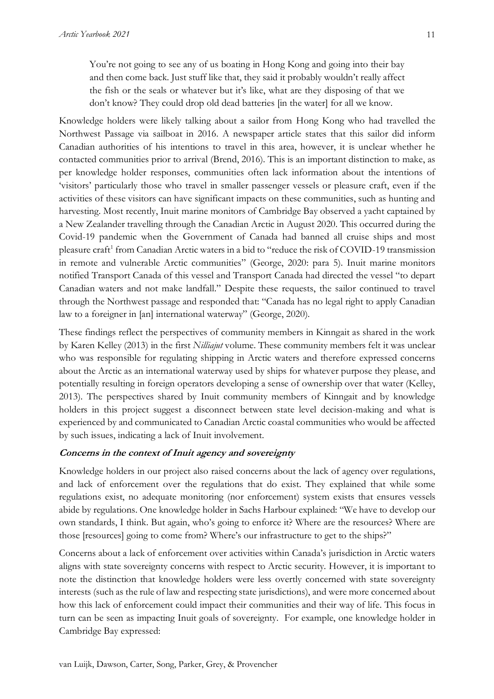You're not going to see any of us boating in Hong Kong and going into their bay and then come back. Just stuff like that, they said it probably wouldn't really affect the fish or the seals or whatever but it's like, what are they disposing of that we don't know? They could drop old dead batteries [in the water] for all we know.

Knowledge holders were likely talking about a sailor from Hong Kong who had travelled the Northwest Passage via sailboat in 2016. A newspaper article states that this sailor did inform Canadian authorities of his intentions to travel in this area, however, it is unclear whether he contacted communities prior to arrival (Brend, 2016). This is an important distinction to make, as per knowledge holder responses, communities often lack information about the intentions of 'visitors' particularly those who travel in smaller passenger vessels or pleasure craft, even if the activities of these visitors can have significant impacts on these communities, such as hunting and harvesting. Most recently, Inuit marine monitors of Cambridge Bay observed a yacht captained by a New Zealander travelling through the Canadian Arctic in August 2020. This occurred during the Covid-19 pandemic when the Government of Canada had banned all cruise ships and most pleasure craft<sup>1</sup> from Canadian Arctic waters in a bid to "reduce the risk of COVID-19 transmission in remote and vulnerable Arctic communities" (George, 2020: para 5). Inuit marine monitors notified Transport Canada of this vessel and Transport Canada had directed the vessel "to depart Canadian waters and not make landfall." Despite these requests, the sailor continued to travel through the Northwest passage and responded that: "Canada has no legal right to apply Canadian law to a foreigner in [an] international waterway" (George, 2020).

These findings reflect the perspectives of community members in Kinngait as shared in the work by Karen Kelley (2013) in the first *Nilliajut* volume. These community members felt it was unclear who was responsible for regulating shipping in Arctic waters and therefore expressed concerns about the Arctic as an international waterway used by ships for whatever purpose they please, and potentially resulting in foreign operators developing a sense of ownership over that water (Kelley, 2013). The perspectives shared by Inuit community members of Kinngait and by knowledge holders in this project suggest a disconnect between state level decision-making and what is experienced by and communicated to Canadian Arctic coastal communities who would be affected by such issues, indicating a lack of Inuit involvement.

## **Concerns in the context of Inuit agency and sovereignty**

Knowledge holders in our project also raised concerns about the lack of agency over regulations, and lack of enforcement over the regulations that do exist. They explained that while some regulations exist, no adequate monitoring (nor enforcement) system exists that ensures vessels abide by regulations. One knowledge holder in Sachs Harbour explained: "We have to develop our own standards, I think. But again, who's going to enforce it? Where are the resources? Where are those [resources] going to come from? Where's our infrastructure to get to the ships?"

Concerns about a lack of enforcement over activities within Canada's jurisdiction in Arctic waters aligns with state sovereignty concerns with respect to Arctic security. However, it is important to note the distinction that knowledge holders were less overtly concerned with state sovereignty interests (such as the rule of law and respecting state jurisdictions), and were more concerned about how this lack of enforcement could impact their communities and their way of life. This focus in turn can be seen as impacting Inuit goals of sovereignty. For example, one knowledge holder in Cambridge Bay expressed: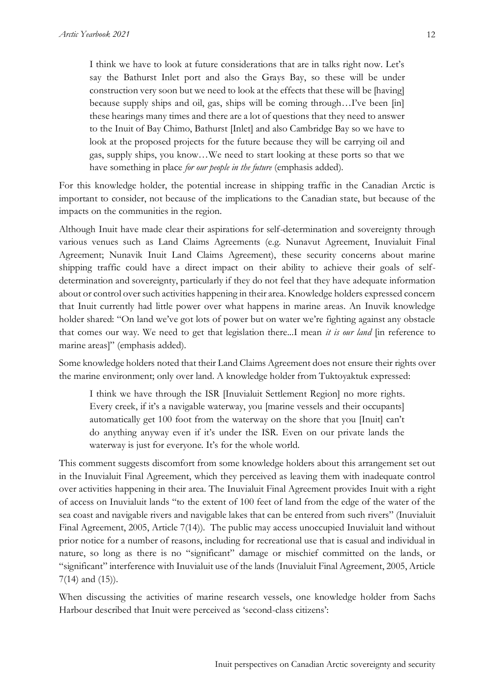I think we have to look at future considerations that are in talks right now. Let's say the Bathurst Inlet port and also the Grays Bay, so these will be under construction very soon but we need to look at the effects that these will be [having] because supply ships and oil, gas, ships will be coming through…I've been [in] these hearings many times and there are a lot of questions that they need to answer to the Inuit of Bay Chimo, Bathurst [Inlet] and also Cambridge Bay so we have to look at the proposed projects for the future because they will be carrying oil and gas, supply ships, you know…We need to start looking at these ports so that we have something in place *for our people in the future* (emphasis added).

For this knowledge holder, the potential increase in shipping traffic in the Canadian Arctic is important to consider, not because of the implications to the Canadian state, but because of the impacts on the communities in the region.

Although Inuit have made clear their aspirations for self-determination and sovereignty through various venues such as Land Claims Agreements (e.g. Nunavut Agreement, Inuvialuit Final Agreement; Nunavik Inuit Land Claims Agreement), these security concerns about marine shipping traffic could have a direct impact on their ability to achieve their goals of selfdetermination and sovereignty, particularly if they do not feel that they have adequate information about or control over such activities happening in their area. Knowledge holders expressed concern that Inuit currently had little power over what happens in marine areas. An Inuvik knowledge holder shared: "On land we've got lots of power but on water we're fighting against any obstacle that comes our way. We need to get that legislation there...I mean *it is our land* [in reference to marine areas]" (emphasis added).

Some knowledge holders noted that their Land Claims Agreement does not ensure their rights over the marine environment; only over land. A knowledge holder from Tuktoyaktuk expressed:

I think we have through the ISR [Inuvialuit Settlement Region] no more rights. Every creek, if it's a navigable waterway, you [marine vessels and their occupants] automatically get 100 foot from the waterway on the shore that you [Inuit] can't do anything anyway even if it's under the ISR. Even on our private lands the waterway is just for everyone. It's for the whole world.

This comment suggests discomfort from some knowledge holders about this arrangement set out in the Inuvialuit Final Agreement, which they perceived as leaving them with inadequate control over activities happening in their area. The Inuvialuit Final Agreement provides Inuit with a right of access on Inuvialuit lands "to the extent of 100 feet of land from the edge of the water of the sea coast and navigable rivers and navigable lakes that can be entered from such rivers" (Inuvialuit Final Agreement, 2005, Article 7(14)). The public may access unoccupied Inuvialuit land without prior notice for a number of reasons, including for recreational use that is casual and individual in nature, so long as there is no "significant" damage or mischief committed on the lands, or "significant" interference with Inuvialuit use of the lands (Inuvialuit Final Agreement, 2005, Article 7(14) and (15)).

When discussing the activities of marine research vessels, one knowledge holder from Sachs Harbour described that Inuit were perceived as 'second-class citizens':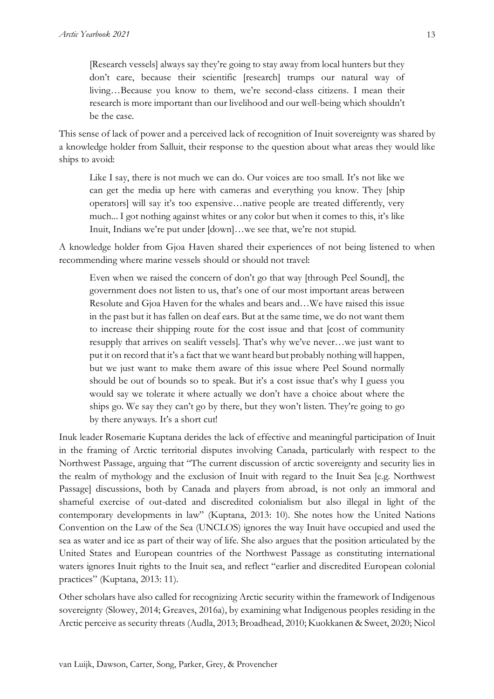[Research vessels] always say they're going to stay away from local hunters but they don't care, because their scientific [research] trumps our natural way of living…Because you know to them, we're second-class citizens. I mean their research is more important than our livelihood and our well-being which shouldn't be the case.

This sense of lack of power and a perceived lack of recognition of Inuit sovereignty was shared by a knowledge holder from Salluit, their response to the question about what areas they would like ships to avoid:

Like I say, there is not much we can do. Our voices are too small. It's not like we can get the media up here with cameras and everything you know. They [ship operators] will say it's too expensive…native people are treated differently, very much... I got nothing against whites or any color but when it comes to this, it's like Inuit, Indians we're put under [down]…we see that, we're not stupid.

A knowledge holder from Gjoa Haven shared their experiences of not being listened to when recommending where marine vessels should or should not travel:

Even when we raised the concern of don't go that way [through Peel Sound], the government does not listen to us, that's one of our most important areas between Resolute and Gjoa Haven for the whales and bears and…We have raised this issue in the past but it has fallen on deaf ears. But at the same time, we do not want them to increase their shipping route for the cost issue and that [cost of community resupply that arrives on sealift vessels]. That's why we've never…we just want to put it on record that it's a fact that we want heard but probably nothing will happen, but we just want to make them aware of this issue where Peel Sound normally should be out of bounds so to speak. But it's a cost issue that's why I guess you would say we tolerate it where actually we don't have a choice about where the ships go. We say they can't go by there, but they won't listen. They're going to go by there anyways. It's a short cut!

Inuk leader Rosemarie Kuptana derides the lack of effective and meaningful participation of Inuit in the framing of Arctic territorial disputes involving Canada, particularly with respect to the Northwest Passage, arguing that "The current discussion of arctic sovereignty and security lies in the realm of mythology and the exclusion of Inuit with regard to the Inuit Sea [e.g. Northwest Passage] discussions, both by Canada and players from abroad, is not only an immoral and shameful exercise of out-dated and discredited colonialism but also illegal in light of the contemporary developments in law" (Kuptana, 2013: 10). She notes how the United Nations Convention on the Law of the Sea (UNCLOS) ignores the way Inuit have occupied and used the sea as water and ice as part of their way of life. She also argues that the position articulated by the United States and European countries of the Northwest Passage as constituting international waters ignores Inuit rights to the Inuit sea, and reflect "earlier and discredited European colonial practices" (Kuptana, 2013: 11).

Other scholars have also called for recognizing Arctic security within the framework of Indigenous sovereignty (Slowey, 2014; Greaves, 2016a), by examining what Indigenous peoples residing in the Arctic perceive as security threats (Audla, 2013; Broadhead, 2010; Kuokkanen & Sweet, 2020; Nicol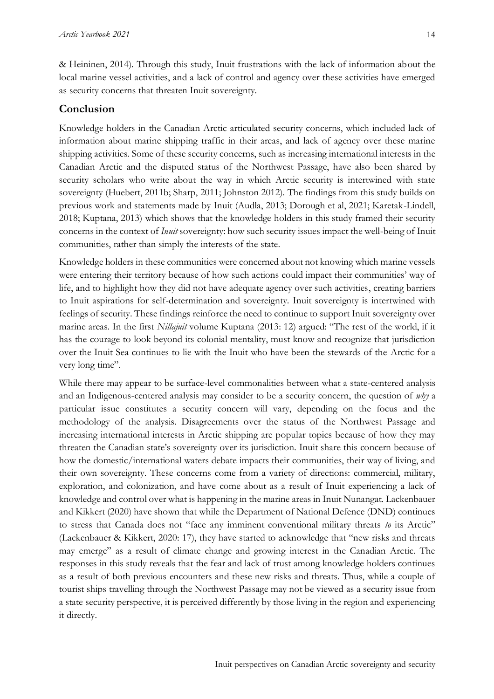& Heininen, 2014). Through this study, Inuit frustrations with the lack of information about the local marine vessel activities, and a lack of control and agency over these activities have emerged as security concerns that threaten Inuit sovereignty.

# **Conclusion**

Knowledge holders in the Canadian Arctic articulated security concerns, which included lack of information about marine shipping traffic in their areas, and lack of agency over these marine shipping activities. Some of these security concerns, such as increasing international interests in the Canadian Arctic and the disputed status of the Northwest Passage, have also been shared by security scholars who write about the way in which Arctic security is intertwined with state sovereignty (Huebert, 2011b; Sharp, 2011; Johnston 2012). The findings from this study builds on previous work and statements made by Inuit (Audla, 2013; Dorough et al, 2021; Karetak-Lindell, 2018; Kuptana, 2013) which shows that the knowledge holders in this study framed their security concerns in the context of *Inuit* sovereignty: how such security issues impact the well-being of Inuit communities, rather than simply the interests of the state.

Knowledge holders in these communities were concerned about not knowing which marine vessels were entering their territory because of how such actions could impact their communities' way of life, and to highlight how they did not have adequate agency over such activities, creating barriers to Inuit aspirations for self-determination and sovereignty. Inuit sovereignty is intertwined with feelings of security. These findings reinforce the need to continue to support Inuit sovereignty over marine areas. In the first *Nillajuit* volume Kuptana (2013: 12) argued: "The rest of the world, if it has the courage to look beyond its colonial mentality, must know and recognize that jurisdiction over the Inuit Sea continues to lie with the Inuit who have been the stewards of the Arctic for a very long time".

While there may appear to be surface-level commonalities between what a state-centered analysis and an Indigenous-centered analysis may consider to be a security concern, the question of *why* a particular issue constitutes a security concern will vary, depending on the focus and the methodology of the analysis. Disagreements over the status of the Northwest Passage and increasing international interests in Arctic shipping are popular topics because of how they may threaten the Canadian state's sovereignty over its jurisdiction. Inuit share this concern because of how the domestic/international waters debate impacts their communities, their way of living, and their own sovereignty. These concerns come from a variety of directions: commercial, military, exploration, and colonization, and have come about as a result of Inuit experiencing a lack of knowledge and control over what is happening in the marine areas in Inuit Nunangat. Lackenbauer and Kikkert (2020) have shown that while the Department of National Defence (DND) continues to stress that Canada does not "face any imminent conventional military threats *to* its Arctic" (Lackenbauer & Kikkert, 2020: 17), they have started to acknowledge that "new risks and threats may emerge" as a result of climate change and growing interest in the Canadian Arctic. The responses in this study reveals that the fear and lack of trust among knowledge holders continues as a result of both previous encounters and these new risks and threats. Thus, while a couple of tourist ships travelling through the Northwest Passage may not be viewed as a security issue from a state security perspective, it is perceived differently by those living in the region and experiencing it directly.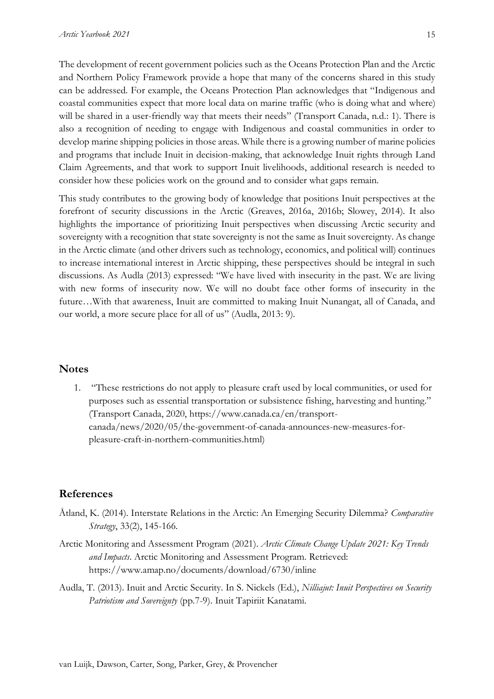The development of recent government policies such as the Oceans Protection Plan and the Arctic and Northern Policy Framework provide a hope that many of the concerns shared in this study can be addressed. For example, the Oceans Protection Plan acknowledges that "Indigenous and coastal communities expect that more local data on marine traffic (who is doing what and where) will be shared in a user-friendly way that meets their needs" (Transport Canada, n.d.: 1). There is also a recognition of needing to engage with Indigenous and coastal communities in order to develop marine shipping policies in those areas. While there is a growing number of marine policies and programs that include Inuit in decision-making, that acknowledge Inuit rights through Land Claim Agreements, and that work to support Inuit livelihoods, additional research is needed to consider how these policies work on the ground and to consider what gaps remain.

This study contributes to the growing body of knowledge that positions Inuit perspectives at the forefront of security discussions in the Arctic (Greaves, 2016a, 2016b; Slowey, 2014). It also highlights the importance of prioritizing Inuit perspectives when discussing Arctic security and sovereignty with a recognition that state sovereignty is not the same as Inuit sovereignty. As change in the Arctic climate (and other drivers such as technology, economics, and political will) continues to increase international interest in Arctic shipping, these perspectives should be integral in such discussions. As Audla (2013) expressed: "We have lived with insecurity in the past. We are living with new forms of insecurity now. We will no doubt face other forms of insecurity in the future…With that awareness, Inuit are committed to making Inuit Nunangat, all of Canada, and our world, a more secure place for all of us" (Audla, 2013: 9).

## **Notes**

1. "These restrictions do not apply to pleasure craft used by local communities, or used for purposes such as essential transportation or subsistence fishing, harvesting and hunting." (Transport Canada, 2020, https://www.canada.ca/en/transportcanada/news/2020/05/the-government-of-canada-announces-new-measures-forpleasure-craft-in-northern-communities.html)

## **References**

- Åtland, K. (2014). Interstate Relations in the Arctic: An Emerging Security Dilemma? *Comparative Strategy*, 33(2), 145-166.
- Arctic Monitoring and Assessment Program (2021). *Arctic Climate Change Update 2021: Key Trends and Impacts*. Arctic Monitoring and Assessment Program. Retrieved: https://www.amap.no/documents/download/6730/inline
- Audla, T. (2013). Inuit and Arctic Security. In S. Nickels (Ed.), *Nilliajut: Inuit Perspectives on Security Patriotism and Sovereignty* (pp.7-9). Inuit Tapiriit Kanatami.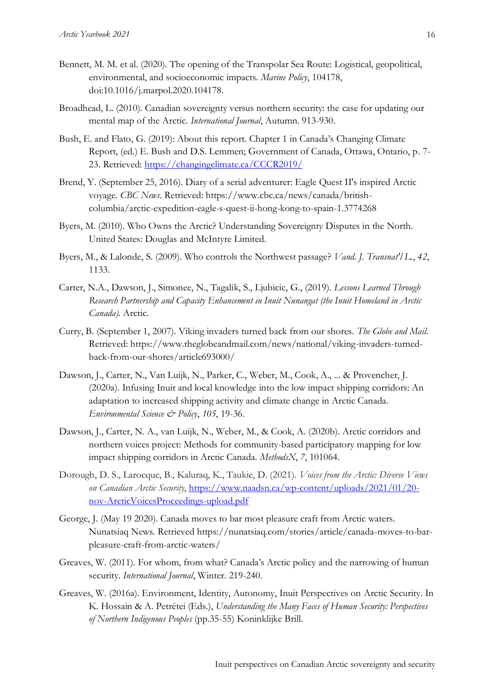- Bennett, M. M. et al. (2020). The opening of the Transpolar Sea Route: Logistical, geopolitical, environmental, and socioeconomic impacts. *Marine Policy*, 104178, doi:10.1016/j.marpol.2020.104178.
- Broadhead, L. (2010). Canadian sovereignty versus northern security: the case for updating our mental map of the Arctic. *International Journal*, Autumn. 913-930.
- Bush, E. and Flato, G. (2019): About this report. Chapter 1 in Canada's Changing Climate Report, (ed.) E. Bush and D.S. Lemmen; Government of Canada, Ottawa, Ontario, p. 7- 23. Retrieved:<https://changingclimate.ca/CCCR2019/>
- Brend, Y. (September 25, 2016). Diary of a serial adventurer: Eagle Quest II's inspired Arctic voyage. *CBC News*. Retrieved: https://www.cbc.ca/news/canada/britishcolumbia/arctic-expedition-eagle-s-quest-ii-hong-kong-to-spain-1.3774268
- Byers, M. (2010). Who Owns the Arctic? Understanding Sovereignty Disputes in the North. United States: Douglas and McIntyre Limited.
- Byers, M., & Lalonde, S. (2009). Who controls the Northwest passage? *Vand. J. Transnat'l L.*, *42*, 1133.
- Carter, N.A., Dawson, J., Simonee, N., Tagalik, S., Ljubicic, G., (2019). *Lessons Learned Through Research Partnership and Capacity Enhancement in Inuit Nunangat (the Inuit Homeland in Arctic Canada).* Arctic.
- Curry, B. (September 1, 2007). Viking invaders turned back from our shores. *The Globe and Mail*. Retrieved: https://www.theglobeandmail.com/news/national/viking-invaders-turnedback-from-our-shores/article693000/
- Dawson, J., Carter, N., Van Luijk, N., Parker, C., Weber, M., Cook, A., ... & Provencher, J. (2020a). Infusing Inuit and local knowledge into the low impact shipping corridors: An adaptation to increased shipping activity and climate change in Arctic Canada. *Environmental Science & Policy*, *105*, 19-36.
- Dawson, J., Carter, N. A., van Luijk, N., Weber, M., & Cook, A. (2020b). Arctic corridors and northern voices project: Methods for community-based participatory mapping for low impact shipping corridors in Arctic Canada. *MethodsX*, *7*, 101064.
- Dorough, D. S., Larocque, B., Kaluraq, K., Taukie, D. (2021). *Voices from the Arctic: Diverse Views on Canadian Arctic Security*, [https://www.naadsn.ca/wp-content/uploads/2021/01/20](https://www.naadsn.ca/wp-content/uploads/2021/01/20-nov-ArcticVoicesProceedings-upload.pdf) [nov-ArcticVoicesProceedings-upload.pdf](https://www.naadsn.ca/wp-content/uploads/2021/01/20-nov-ArcticVoicesProceedings-upload.pdf)
- George, J. (May 19 2020). Canada moves to bar most pleasure craft from Arctic waters. Nunatsiaq News. Retrieved https://nunatsiaq.com/stories/article/canada-moves-to-barpleasure-craft-from-arctic-waters/
- Greaves, W. (2011). For whom, from what? Canada's Arctic policy and the narrowing of human security. *International Journal*, Winter. 219-240.
- Greaves, W. (2016a). Environment, Identity, Autonomy, Inuit Perspectives on Arctic Security. In K. Hossain & A. Petrétei (Eds.), *Understanding the Many Faces of Human Security: Perspectives of Northern Indigenous Peoples* (pp.35-55) Koninklijke Brill.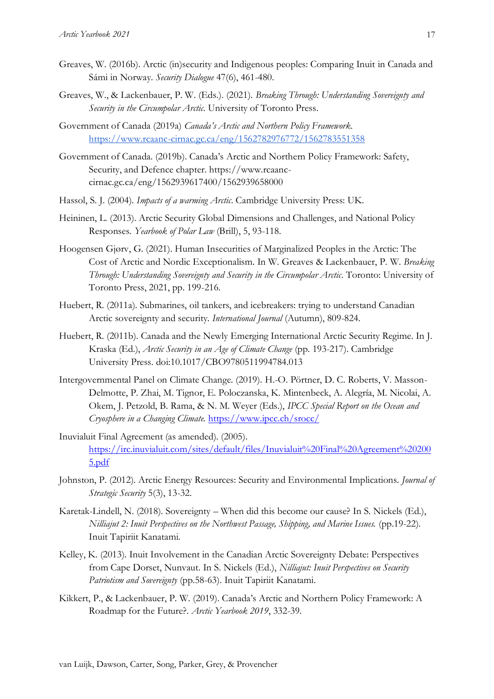- Greaves, W. (2016b). Arctic (in)security and Indigenous peoples: Comparing Inuit in Canada and Sámi in Norway. *Security Dialogue* 47(6), 461-480.
- Greaves, W., & Lackenbauer, P. W. (Eds.). (2021). *Breaking Through: Understanding Sovereignty and Security in the Circumpolar Arctic*. University of Toronto Press.
- Government of Canada (2019a) *Canada's Arctic and Northern Policy Framework.*  <https://www.rcaanc-cirnac.gc.ca/eng/1562782976772/1562783551358>
- Government of Canada. (2019b). Canada's Arctic and Northern Policy Framework: Safety, Security, and Defence chapter. https://www.rcaanccirnac.gc.ca/eng/1562939617400/1562939658000
- Hassol, S. J. (2004). *Impacts of a warming Arctic*. Cambridge University Press: UK.
- Heininen, L. (2013). Arctic Security Global Dimensions and Challenges, and National Policy Responses. *Yearbook of Polar Law* (Brill), 5, 93-118.
- Hoogensen Gjørv, G. (2021). Human Insecurities of Marginalized Peoples in the Arctic: The Cost of Arctic and Nordic Exceptionalism. In W. Greaves & Lackenbauer, P. W. *Breaking Through: Understanding Sovereignty and Security in the Circumpolar Arctic*. Toronto: University of Toronto Press, 2021, pp. 199-216.
- Huebert, R. (2011a). Submarines, oil tankers, and icebreakers: trying to understand Canadian Arctic sovereignty and security. *International Journal* (Autumn), 809-824.
- Huebert, R. (2011b). Canada and the Newly Emerging International Arctic Security Regime. In J. Kraska (Ed.), *Arctic Security in an Age of Climate Change* (pp. 193-217). Cambridge University Press. doi:10.1017/CBO9780511994784.013
- Intergovernmental Panel on Climate Change. (2019). H.-O. Pörtner, D. C. Roberts, V. Masson-Delmotte, P. Zhai, M. Tignor, E. Poloczanska, K. Mintenbeck, A. Alegría, M. Nicolai, A. Okem, J. Petzold, B. Rama, & N. M. Weyer (Eds.), *IPCC Special Report on the Ocean and Cryosphere in a Changing Climate.* <https://www.ipcc.ch/srocc/>
- Inuvialuit Final Agreement (as amended). (2005). [https://irc.inuvialuit.com/sites/default/files/Inuvialuit%20Final%20Agreement%20200](https://irc.inuvialuit.com/sites/default/files/Inuvialuit%20Final%20Agreement%202005.pdf) [5.pdf](https://irc.inuvialuit.com/sites/default/files/Inuvialuit%20Final%20Agreement%202005.pdf)
- Johnston, P. (2012). Arctic Energy Resources: Security and Environmental Implications. *Journal of Strategic Security* 5(3), 13-32.
- Karetak-Lindell, N. (2018). Sovereignty When did this become our cause? In S. Nickels (Ed.), *Nilliajut 2: Inuit Perspectives on the Northwest Passage, Shipping, and Marine Issues.* (pp.19-22). Inuit Tapiriit Kanatami.
- Kelley, K. (2013). Inuit Involvement in the Canadian Arctic Sovereignty Debate: Perspectives from Cape Dorset, Nunvaut. In S. Nickels (Ed.), *Nilliajut: Inuit Perspectives on Security Patriotism and Sovereignty* (pp.58-63). Inuit Tapiriit Kanatami.
- Kikkert, P., & Lackenbauer, P. W. (2019). Canada's Arctic and Northern Policy Framework: A Roadmap for the Future?. *Arctic Yearbook 2019*, 332-39.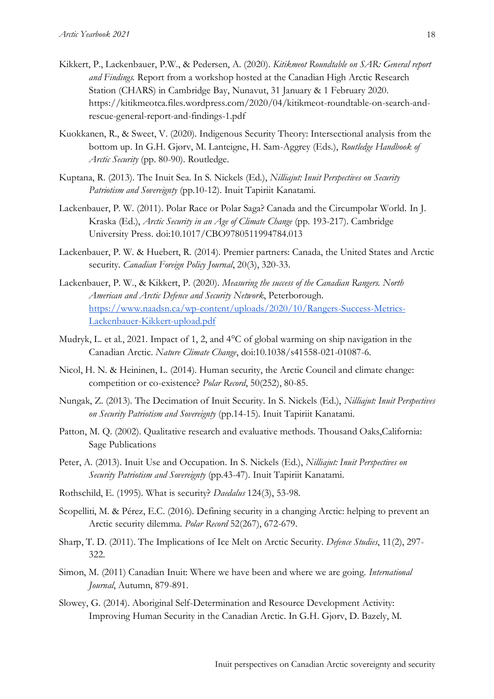- Kikkert, P., Lackenbauer, P.W., & Pedersen, A. (2020). *Kitikmeot Roundtable on SAR: General report and Findings.* Report from a workshop hosted at the Canadian High Arctic Research Station (CHARS) in Cambridge Bay, Nunavut, 31 January & 1 February 2020. https://kitikmeotca.files.wordpress.com/2020/04/kitikmeot-roundtable-on-search-andrescue-general-report-and-findings-1.pdf
- Kuokkanen, R., & Sweet, V. (2020). Indigenous Security Theory: Intersectional analysis from the bottom up. In G.H. Gjørv, M. Lanteigne, H. Sam-Aggrey (Eds.), *Routledge Handbook of Arctic Security* (pp. 80-90). Routledge.
- Kuptana, R. (2013). The Inuit Sea. In S. Nickels (Ed.), *Nilliajut: Inuit Perspectives on Security Patriotism and Sovereignty* (pp.10-12). Inuit Tapiriit Kanatami.
- Lackenbauer, P. W. (2011). Polar Race or Polar Saga? Canada and the Circumpolar World. In J. Kraska (Ed.), *Arctic Security in an Age of Climate Change* (pp. 193-217). Cambridge University Press. doi:10.1017/CBO9780511994784.013
- Lackenbauer, P. W. & Huebert, R. (2014). Premier partners: Canada, the United States and Arctic security. *Canadian Foreign Policy Journal*, 20(3), 320-33.
- Lackenbauer, P. W., & Kikkert, P. (2020). *Measuring the success of the Canadian Rangers. North American and Arctic Defence and Security Network*, Peterborough. [https://www.naadsn.ca/wp-content/uploads/2020/10/Rangers-Success-Metrics-](https://www.naadsn.ca/wp-content/uploads/2020/10/Rangers-Success-Metrics-Lackenbauer-Kikkert-upload.pdf)[Lackenbauer-Kikkert-upload.pdf](https://www.naadsn.ca/wp-content/uploads/2020/10/Rangers-Success-Metrics-Lackenbauer-Kikkert-upload.pdf)
- Mudryk, L. et al., 2021. Impact of 1, 2, and 4°C of global warming on ship navigation in the Canadian Arctic. *Nature Climate Change*, doi:10.1038/s41558-021-01087-6.
- Nicol, H. N. & Heininen, L. (2014). Human security, the Arctic Council and climate change: competition or co-existence? *Polar Record*, 50(252), 80-85.
- Nungak, Z. (2013). The Decimation of Inuit Security. In S. Nickels (Ed.), *Nilliajut: Inuit Perspectives on Security Patriotism and Sovereignty* (pp.14-15). Inuit Tapiriit Kanatami.
- Patton, M. Q. (2002). Qualitative research and evaluative methods. Thousand Oaks,California: Sage Publications
- Peter, A. (2013). Inuit Use and Occupation. In S. Nickels (Ed.), *Nilliajut: Inuit Perspectives on Security Patriotism and Sovereignty* (pp.43-47). Inuit Tapiriit Kanatami.
- Rothschild, E. (1995). What is security? *Daedalus* 124(3), 53-98.
- Scopelliti, M. & Pérez, E.C. (2016). Defining security in a changing Arctic: helping to prevent an Arctic security dilemma. *Polar Record* 52(267), 672-679.
- Sharp, T. D. (2011). The Implications of Ice Melt on Arctic Security. *Defence Studies*, 11(2), 297- 322.
- Simon, M. (2011) Canadian Inuit: Where we have been and where we are going. *International Journal*, Autumn, 879-891.
- Slowey, G. (2014). Aboriginal Self-Determination and Resource Development Activity: Improving Human Security in the Canadian Arctic. In G.H. Gjørv, D. Bazely, M.